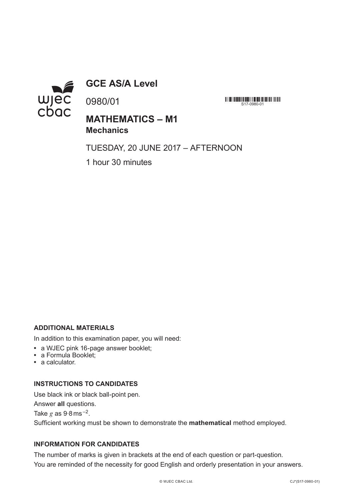

**GCE AS/A Level**

0980/01

<u> 111 | 111 | 1111111111 | 11111 | 11111 | 1111 | 1111 | 1111 | 111</u>  $S17-0980-01$ 

## **MATHEMATICS – M1 Mechanics**

TUESDAY, 20 JUNE 2017 – AFTERNOON

1 hour 30 minutes

#### **ADDITIONAL MATERIALS**

In addition to this examination paper, you will need:

- **•** a WJEC pink 16-page answer booklet;
- **•** a Formula Booklet;
- **•** a calculator.

#### **INSTRUCTIONS TO CANDIDATES**

Use black ink or black ball-point pen. Answer **all** questions. Take  $g$  as  $9.8$  ms<sup> $-2$ </sup>. Sufficient working must be shown to demonstrate the **mathematical** method employed.

### **INFORMATION FOR CANDIDATES**

The number of marks is given in brackets at the end of each question or part-question. You are reminded of the necessity for good English and orderly presentation in your answers.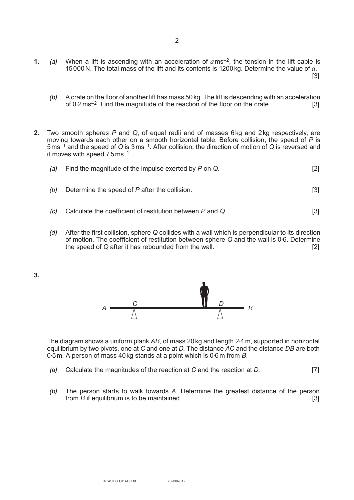**1.** (a) When a lift is ascending with an acceleration of  $a$ ms<sup>-2</sup>, the tension in the lift cable is 15000N. The total mass of the lift and its contents is 1200kg. Determine the value of *a*.

[3]

- *(b)* A crate on the floor of another lift has mass 50kg. The lift is descending with an acceleration of  $0.2 \text{ms}^{-2}$ . Find the magnitude of the reaction of the floor on the crate.  $\qquad \qquad \qquad \text{[3]}$
- **2.** Two smooth spheres *P* and *Q*, of equal radii and of masses 6kg and 2kg respectively, are moving towards each other on a smooth horizontal table. Before collision, the speed of *P* is 5ms–1 and the speed of *Q* is 3ms–1. After collision, the direction of motion of *Q* is reversed and it moves with speed 7. 5ms–1.

| (a) Find the magnitude of the impulse exerted by $P$ on $Q$ . |  |
|---------------------------------------------------------------|--|
|                                                               |  |

- *(b)* Determine the speed of *P* after the collision. [3]
- *(c)* Calculate the coefficient of restitution between *P* and *Q*. [3]
- *(d)* After the first collision, sphere *Q* collides with a wall which is perpendicular to its direction of motion. The coefficient of restitution between sphere *Q* and the wall is 0. 6. Determine the speed of *Q* after it has rebounded from the wall. [2]

**3.**



The diagram shows a uniform plank *AB*, of mass 20kg and length 2. 4m, supported in horizontal equilibrium by two pivots, one at *C* and one at *D*. The distance *AC* and the distance *DB* are both 0. 5m. A person of mass 40kg stands at a point which is 0. 6m from *B*.

- *(a)* Calculate the magnitudes of the reaction at *C* and the reaction at *D*. [7]
- *(b)* The person starts to walk towards *A*. Determine the greatest distance of the person from *B* if equilibrium is to be maintained. [3]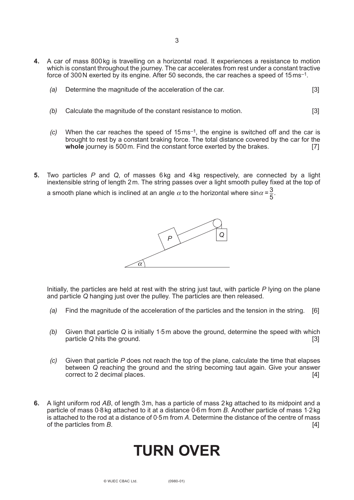- **4.** A car of mass 800kg is travelling on a horizontal road. It experiences a resistance to motion which is constant throughout the journey. The car accelerates from rest under a constant tractive force of 300 N exerted by its engine. After 50 seconds, the car reaches a speed of  $15 \text{ ms}^{-1}$ .
	- *(a)* Determine the magnitude of the acceleration of the car. [3]
	- *(b)* Calculate the magnitude of the constant resistance to motion. [3]
	- *(c)* When the car reaches the speed of 15ms–1, the engine is switched off and the car is brought to rest by a constant braking force. The total distance covered by the car for the **whole** journey is 500 m. Find the constant force exerted by the brakes. [7] whole journey is 500 m. Find the constant force exerted by the brakes.
- **5.** Two particles *P* and *Q*, of masses 6kg and 4kg respectively, are connected by a light inextensible string of length 2m. The string passes over a light smooth pulley fixed at the top of a smooth plane which is inclined at an angle  $\alpha$  to the horizontal where sin $\alpha$  =  $\frac{3}{5}$ . 5



Initially, the particles are held at rest with the string just taut, with particle *P* lying on the plane and particle *Q* hanging just over the pulley. The particles are then released.

- *(a)* Find the magnitude of the acceleration of the particles and the tension in the string. [6]
- *(b)* Given that particle *Q* is initially 1. 5m above the ground, determine the speed with which particle *Q* hits the ground. [3]
- *(c)* Given that particle *P* does not reach the top of the plane, calculate the time that elapses between *Q* reaching the ground and the string becoming taut again. Give your answer correct to 2 decimal places. [4]
- **6.** A light uniform rod *AB*, of length 3m, has a particle of mass 2kg attached to its midpoint and a particle of mass 0.8kg attached to it at a distance 0.6m from *B*. Another particle of mass 1.2kg is attached to the rod at a distance of 0.5 m from A. Determine the distance of the centre of mass of the particles from *B*. [4]

# **TURN OVER**